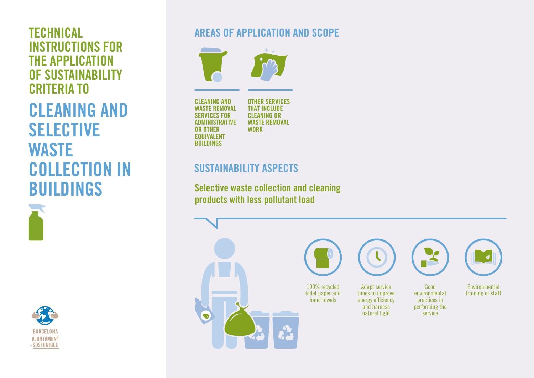INSTRUCTIONS FOR THE APPLICATION OF SUSTAINABILITY CRITERIA TO

CLEANING AND SELECTIVE **WASTE** COLLECTION IN BUILDINGS





## TECHNICAL AREAS OF APPLICATION AND SCOPE



CLEANING AND WASTE REMOVAL SERVICES FOR ADMINISTRATIVE OR OTHER EQUIVALENT **BUILDINGS** 

OTHER SERVICES THAT INCLUDE CLEANING OR WASTE REMOVAL **WORK** 

### SUSTAINABILITY ASPECTS

Selective waste collection and cleaning products with less pollutant load

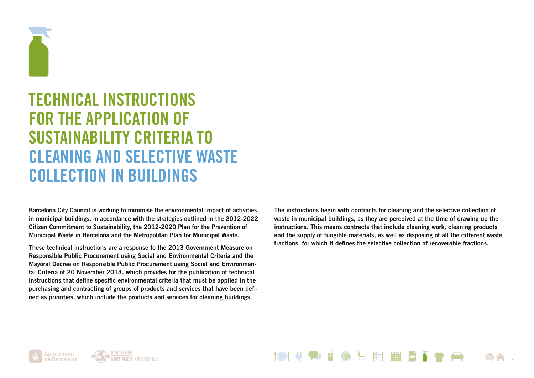

# TECHNICAL INSTRUCTIONS FOR THE APPLICATION OF SUSTAINABILITY CRITERIA TO CLEANING AND SELECTIVE WASTE COLLECTION IN BUILDINGS

Barcelona City Council is working to minimise the environmental impact of activities in municipal buildings, in accordance with the strategies outlined in the 2012-2022 Citizen Commitment to Sustainability, the 2012-2020 Plan for the Prevention of Municipal Waste in Barcelona and the Metropolitan Plan for Municipal Waste.

These technical instructions are a response to the 2013 Government Measure on Responsible Public Procurement using Social and Environmental Criteria and the Mayoral Decree on Responsible Public Procurement using Social and Environmental Criteria of 20 November 2013, which provides for the publication of technical instructions that define specific environmental criteria that must be applied in the purchasing and contracting of groups of products and services that have been defined as priorities, which include the products and services for cleaning buildings.

The instructions begin with contracts for cleaning and the selective collection of waste in municipal buildings, as they are perceived at the time of drawing up the instructions. This means contracts that include cleaning work, cleaning products and the supply of fungible materials, as well as disposing of all the different waste fractions, for which it defines the selective collection of recoverable fractions.



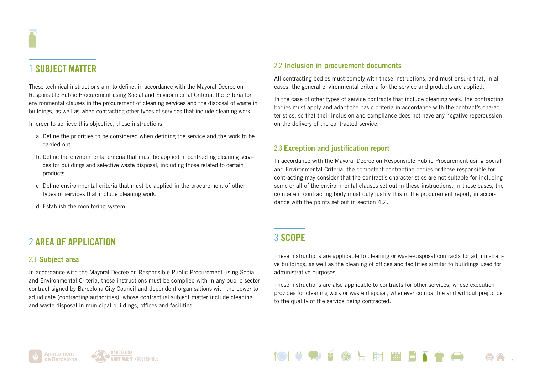### 1 SUBJECT MATTER

These technical instructions aim to define, in accordance with the Mayoral Decree on Responsible Public Procurement using Social and Environmental Criteria, the criteria for environmental clauses in the procurement of cleaning services and the disposal of waste in buildings, as well as when contracting other types of services that include cleaning work.

In order to achieve this objective, these instructions:

- a. Define the priorities to be considered when defining the service and the work to be carried out.
- b. Define the environmental criteria that must be applied in contracting cleaning servi ces for buildings and selective waste disposal, including those related to certain products.
- c. Define environmental criteria that must be applied in the procurement of other types of services that include cleaning work.
- d. Establish the monitoring system.

### 2 AREA OF APPLICATION

#### 2.1 Subject area

In accordance with the Mayoral Decree on Responsible Public Procurement using Social and Environmental Criteria, these instructions must be complied with in any public sector contract signed by Barcelona City Council and dependent organisations with the power to adjudicate (contracting authorities), whose contractual subject matter include cleaning and waste disposal in municipal buildings, offices and facilities.

#### 2.2 Inclusion in procurement documents

All contracting bodies must comply with these instructions, and must ensure that, in all cases, the general environmental criteria for the service and products are applied.

In the case of other types of service contracts that include cleaning work, the contracting bodies must apply and adapt the basic criteria in accordance with the contract's characteristics, so that their inclusion and compliance does not have any negative repercussion on the delivery of the contracted service.

#### 2.3 Exception and justification report

In accordance with the Mayoral Decree on Responsible Public Procurement using Social and Environmental Criteria, the competent contracting bodies or those responsible for contracting may consider that the contract's characteristics are not suitable for including some or all of the environmental clauses set out in these instructions. In these cases, the competent contracting body must duly justify this in the procurement report, in accordance with the points set out in section 4.2.

### 3 SCOPE

These instructions are applicable to cleaning or waste-disposal contracts for administrative buildings, as well as the cleaning of offices and facilities similar to buildings used for administrative purposes.

These instructions are also applicable to contracts for other services, whose execution provides for cleaning work or waste disposal, whenever compatible and without prejudice to the quality of the service being contracted.



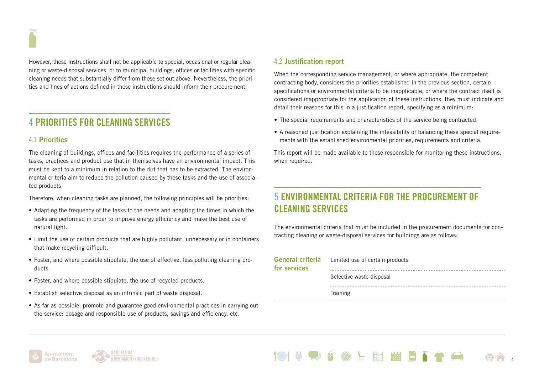However, these instructions shall not be applicable to special, occasional or regular cleaning or waste-disposal services, or to municipal buildings, offices or facilities with specific cleaning needs that substantially differ from those set out above. Nevertheless, the priorities and lines of actions defined in these instructions should inform their procurement.

### 4 PRIORITIES FOR CLEANING SERVICES

### 4.1 Priorities

The cleaning of buildings, offices and facilities requires the performance of a series of tasks, practices and product use that in themselves have an environmental impact. This must be kept to a minimum in relation to the dirt that has to be extracted. The environmental criteria aim to reduce the pollution caused by these tasks and the use of associated products.

Therefore, when cleaning tasks are planned, the following principles will be priorities:

- Adapting the frequency of the tasks to the needs and adapting the times in which the tasks are performed in order to improve energy efficiency and make the best use of natural light.
- Limit the use of certain products that are highly pollutant, unnecessary or in containers that make recycling difficult.
- Foster, and where possible stipulate, the use of effective, less polluting cleaning products.
- Foster, and where possible stipulate, the use of recycled products.
- Establish selective disposal as an intrinsic part of waste disposal.
- As far as possible, promote and guarantee good environmental practices in carrying out the service: dosage and responsible use of products, savings and efficiency, etc.

#### 4.2 Justification report

When the corresponding service management, or where appropriate, the competent contracting body, considers the priorities established in the previous section, certain specifications or environmental criteria to be inapplicable, or where the contract itself is considered inappropriate for the application of these instructions, they must indicate and detail their reasons for this in a justification report, specifying as a minimum:

- The special requirements and characteristics of the service being contracted.
- A reasoned justification explaining the infeasibility of balancing these special requirements with the established environmental priorities, requirements and criteria.

This report will be made available to those responsible for monitoring these instructions, when required.

### 5 ENVIRONMENTAL CRITERIA FOR THE PROCUREMENT OF CLEANING SERVICES

The environmental criteria that must be included in the procurement documents for contracting cleaning or waste-disposal services for buildings are as follows:

| for services | General criteria Limited use of certain products |
|--------------|--------------------------------------------------|
|              | Selective waste disposal                         |
|              | Training                                         |

**EST 1999** 



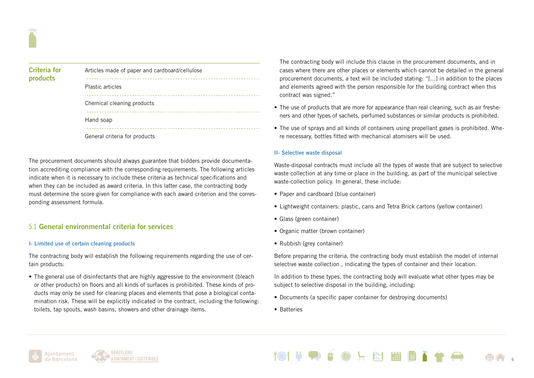| <b>Criteria for</b><br>products | Articles made of paper and cardboard/cellulose |
|---------------------------------|------------------------------------------------|
|                                 | Plastic articles                               |
|                                 | Chemical cleaning products                     |
|                                 | Hand soap                                      |
|                                 | General criteria for products                  |

The procurement documents should always guarantee that bidders provide documentation accrediting compliance with the corresponding requirements. The following articles indicate when it is necessary to include these criteria as technical specifications and when they can be included as award criteria. In this latter case, the contracting body must determine the score given for compliance with each award criterion and the corresponding assessment formula.

### 5.1 General environmental criteria for services

#### I- Limited use of certain cleaning products

The contracting body will establish the following requirements regarding the use of certain products:

• The general use of disinfectants that are highly aggressive to the environment (bleach or other products) on floors and all kinds of surfaces is prohibited. These kinds of products may only be used for cleaning places and elements that pose a biological contamination risk. These will be explicitly indicated in the contract, including the following: toilets, tap spouts, wash basins, showers and other drainage items.

The contracting body will include this clause in the procurement documents, and in cases where there are other places or elements which cannot be detailed in the general procurement documents, a text will be included stating: "[...] in addition to the places and elements agreed with the person responsible for the building contract when this contract was signed."

- The use of products that are more for appearance than real cleaning, such as air fresheners and other types of sachets, perfumed substances or similar products is prohibited.
- The use of sprays and all kinds of containers using propellant gases is prohibited. Where necessary, bottles fitted with mechanical atomisers will be used.

#### II- Selective waste disposal

Waste-disposal contracts must include all the types of waste that are subject to selective waste collection at any time or place in the building, as part of the municipal selective waste-collection policy. In general, these include:

- Paper and cardboard (blue container)
- Lightweight containers: plastic, cans and Tetra Brick cartons (yellow container)
- Glass (green container)
- Organic matter (brown container)
- Rubbish (grey container)

Before preparing the criteria, the contracting body must establish the model of internal selective waste collection , indicating the types of container and their location.

In addition to these types, the contracting body will evaluate what other types may be subject to selective disposal in the building, including:

- Documents (a specific paper container for destroying documents)
- Batteries





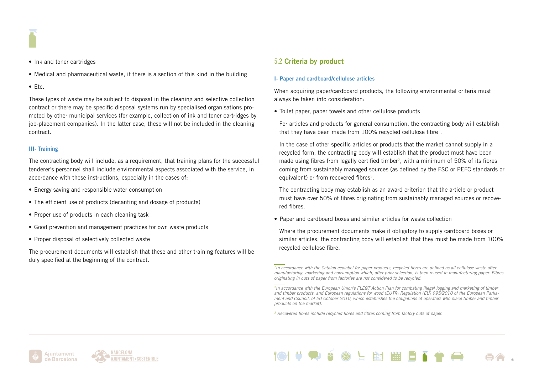

- Ink and toner cartridges
- Medical and pharmaceutical waste, if there is a section of this kind in the building
- Etc.

These types of waste may be subject to disposal in the cleaning and selective collection contract or there may be specific disposal systems run by specialised organisations promoted by other municipal services (for example, collection of ink and toner cartridges by job-placement companies). In the latter case, these will not be included in the cleaning contract.

#### III- Training

The contracting body will include, as a requirement, that training plans for the successful tenderer's personnel shall include environmental aspects associated with the service, in accordance with these instructions, especially in the cases of:

- Energy saving and responsible water consumption
- The efficient use of products (decanting and dosage of products)
- Proper use of products in each cleaning task
- Good prevention and management practices for own waste products
- Proper disposal of selectively collected waste

The procurement documents will establish that these and other training features will be duly specified at the beginning of the contract.

#### 5.2 Criteria by product

#### I- Paper and cardboard/cellulose articles

When acquiring paper/cardboard products, the following environmental criteria must always be taken into consideration:

• Toilet paper, paper towels and other cellulose products

For articles and products for general consumption, the contracting body will establish that they have been made from  $100\%$  recycled cellulose fibre<sup>1</sup>.

In the case of other specific articles or products that the market cannot supply in a recycled form, the contracting body will establish that the product must have been made using fibres from legally certified timber<sup>2</sup>, with a minimum of 50% of its fibres coming from sustainably managed sources (as defined by the FSC or PEFC standards or equivalent) or from recovered fibres<sup>3</sup>.

The contracting body may establish as an award criterion that the article or product must have over 50% of fibres originating from sustainably managed sources or recovered fibres.

• Paper and cardboard boxes and similar articles for waste collection

Where the procurement documents make it obligatory to supply cardboard boxes or similar articles, the contracting body will establish that they must be made from 100% recycled cellulose fibre.





*<sup>1</sup>In accordance with the Catalan ecolabel for paper products, recycled fibres are defined as all cellulose waste after manufacturing, marketing and consumption which, after prior selection, is then reused in manufacturing paper. Fibres originating in cuts of paper from factories are not considered to be recycled.*

*<sup>2</sup>In accordance with the European Union's FLEGT Action Plan for combating illegal logging and marketing of timber and timber products, and European regulations for wood (EUTR: Regulation (EU) 995/2010 of the European Parliament and Council, of 20 October 2010, which establishes the obligations of operators who place timber and timber products on the market).*

*<sup>3</sup> Recovered fibres include recycled fibres and fibres coming from factory cuts of paper.*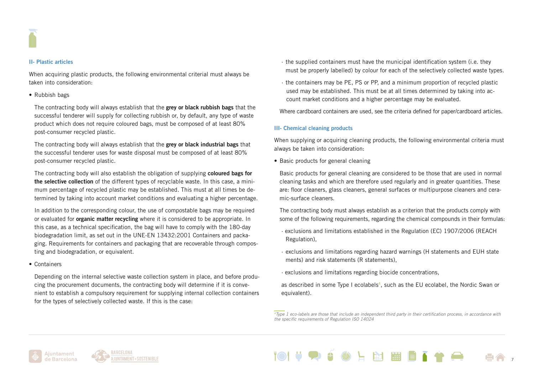#### II- Plastic articles

When acquiring plastic products, the following environmental criterial must always be taken into consideration:

#### • Rubbish bags

The contracting body will always establish that the grey or black rubbish bags that the successful tenderer will supply for collecting rubbish or, by default, any type of waste product which does not require coloured bags, must be composed of at least 80% post-consumer recycled plastic.

The contracting body will always establish that the grey or black industrial bags that the successful tenderer uses for waste disposal must be composed of at least 80% post-consumer recycled plastic.

The contracting body will also establish the obligation of supplying coloured bags for the selective collection of the different types of recyclable waste. In this case, a minimum percentage of recycled plastic may be established. This must at all times be determined by taking into account market conditions and evaluating a higher percentage.

In addition to the corresponding colour, the use of compostable bags may be required or evaluated for **organic matter recycling** where it is considered to be appropriate. In this case, as a technical specification, the bag will have to comply with the 180-day biodegradation limit, as set out in the UNE-EN 13432:2001 Containers and packaging. Requirements for containers and packaging that are recoverable through composting and biodegradation, or equivalent.

• Containers

Depending on the internal selective waste collection system in place, and before producing the procurement documents, the contracting body will determine if it is convenient to establish a compulsory requirement for supplying internal collection containers for the types of selectively collected waste. If this is the case:

- · the supplied containers must have the municipal identification system (i.e. they must be properly labelled) by colour for each of the selectively collected waste types.
- · the containers may be PE, PS or PP, and a minimum proportion of recycled plastic used may be established. This must be at all times determined by taking into account market conditions and a higher percentage may be evaluated.

Where cardboard containers are used, see the criteria defined for paper/cardboard articles.

#### III- Chemical cleaning products

When supplying or acquiring cleaning products, the following environmental criteria must always be taken into consideration:

• Basic products for general cleaning

Basic products for general cleaning are considered to be those that are used in normal cleaning tasks and which are therefore used regularly and in greater quantities. These are: floor cleaners, glass cleaners, general surfaces or multipurpose cleaners and ceramic-surface cleaners.

The contracting body must always establish as a criterion that the products comply with some of the following requirements, regarding the chemical compounds in their formulas:

- · exclusions and limitations established in the Regulation (EC) 1907/2006 (REACH Regulation),
- · exclusions and limitations regarding hazard warnings (H statements and EUH state ments) and risk statements (R statements),
- · exclusions and limitations regarding biocide concentrations,

as described in some Type I ecolabels<sup>4</sup>, such as the EU ecolabel, the Nordic Swan or equivalent).







*<sup>4</sup>Type 1 eco-labels are those that include an independent third party in their certification process, in accordance with the specific requirements of Regulation ISO 14024*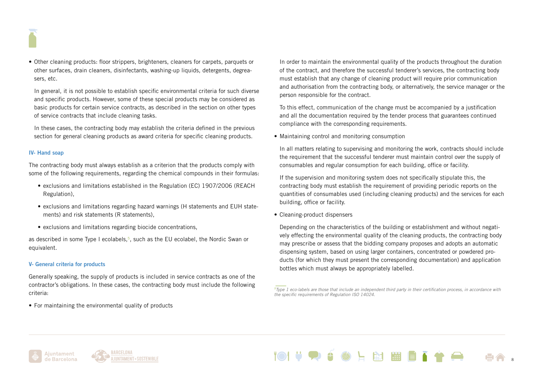• Other cleaning products: floor strippers, brighteners, cleaners for carpets, parquets or other surfaces, drain cleaners, disinfectants, washing-up liquids, detergents, degreasers, etc.

In general, it is not possible to establish specific environmental criteria for such diverse and specific products. However, some of these special products may be considered as basic products for certain service contracts, as described in the section on other types of service contracts that include cleaning tasks.

In these cases, the contracting body may establish the criteria defined in the previous section for general cleaning products as award criteria for specific cleaning products.

#### IV- Hand soap

The contracting body must always establish as a criterion that the products comply with some of the following requirements, regarding the chemical compounds in their formulas:

- exclusions and limitations established in the Regulation (EC) 1907/2006 (REACH Regulation),
- exclusions and limitations regarding hazard warnings (H statements and EUH statements) and risk statements (R statements),
- exclusions and limitations regarding biocide concentrations,

as described in some Type I ecolabels, $5$ , such as the EU ecolabel, the Nordic Swan or equivalent.

#### V- General criteria for products

Generally speaking, the supply of products is included in service contracts as one of the contractor's obligations. In these cases, the contracting body must include the following criteria:

• For maintaining the environmental quality of products

In order to maintain the environmental quality of the products throughout the duration of the contract, and therefore the successful tenderer's services, the contracting body must establish that any change of cleaning product will require prior communication and authorisation from the contracting body, or alternatively, the service manager or the person responsible for the contract.

To this effect, communication of the change must be accompanied by a justification and all the documentation required by the tender process that guarantees continued compliance with the corresponding requirements.

• Maintaining control and monitoring consumption

In all matters relating to supervising and monitoring the work, contracts should include the requirement that the successful tenderer must maintain control over the supply of consumables and regular consumption for each building, office or facility.

If the supervision and monitoring system does not specifically stipulate this, the contracting body must establish the requirement of providing periodic reports on the quantities of consumables used (including cleaning products) and the services for each building, office or facility.

• Cleaning-product dispensers

Depending on the characteristics of the building or establishment and without negatively effecting the environmental quality of the cleaning products, the contracting body may prescribe or assess that the bidding company proposes and adopts an automatic dispensing system, based on using larger containers, concentrated or powdered products (for which they must present the corresponding documentation) and application bottles which must always be appropriately labelled.







*<sup>5</sup>Type 1 eco-labels are those that include an independent third party in their certification process, in accordance with the specific requirements of Regulation ISO 14024.*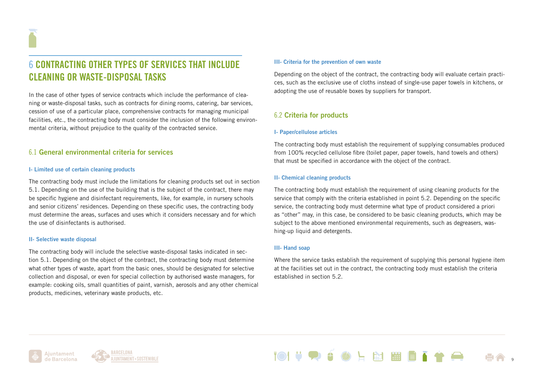### 6 CONTRACTING OTHER TYPES OF SERVICES THAT INCLUDE CLEANING OR WASTE-DISPOSAL TASKS

In the case of other types of service contracts which include the performance of cleaning or waste-disposal tasks, such as contracts for dining rooms, catering, bar services, cession of use of a particular place, comprehensive contracts for managing municipal facilities, etc., the contracting body must consider the inclusion of the following environmental criteria, without prejudice to the quality of the contracted service.

#### 6.1 General environmental criteria for services

#### I- Limited use of certain cleaning products

The contracting body must include the limitations for cleaning products set out in section 5.1. Depending on the use of the building that is the subject of the contract, there may be specific hygiene and disinfectant requirements, like, for example, in nursery schools and senior citizens' residences. Depending on these specific uses, the contracting body must determine the areas, surfaces and uses which it considers necessary and for which the use of disinfectants is authorised.

#### II- Selective waste disposal

The contracting body will include the selective waste-disposal tasks indicated in section 5.1. Depending on the object of the contract, the contracting body must determine what other types of waste, apart from the basic ones, should be designated for selective collection and disposal, or even for special collection by authorised waste managers, for example: cooking oils, small quantities of paint, varnish, aerosols and any other chemical products, medicines, veterinary waste products, etc.

#### III- Criteria for the prevention of own waste

Depending on the object of the contract, the contracting body will evaluate certain practices, such as the exclusive use of cloths instead of single-use paper towels in kitchens, or adopting the use of reusable boxes by suppliers for transport.

#### 6.2 Criteria for products

#### I- Paper/cellulose articles

The contracting body must establish the requirement of supplying consumables produced from 100% recycled cellulose fibre (toilet paper, paper towels, hand towels and others) that must be specified in accordance with the object of the contract.

#### II- Chemical cleaning products

The contracting body must establish the requirement of using cleaning products for the service that comply with the criteria established in point 5.2. Depending on the specific service, the contracting body must determine what type of product considered a priori as "other" may, in this case, be considered to be basic cleaning products, which may be subject to the above mentioned environmental requirements, such as degreasers, washing-up liquid and detergents.

#### III- Hand soap

Where the service tasks establish the requirement of supplying this personal hygiene item at the facilities set out in the contract, the contracting body must establish the criteria established in section 5.2.